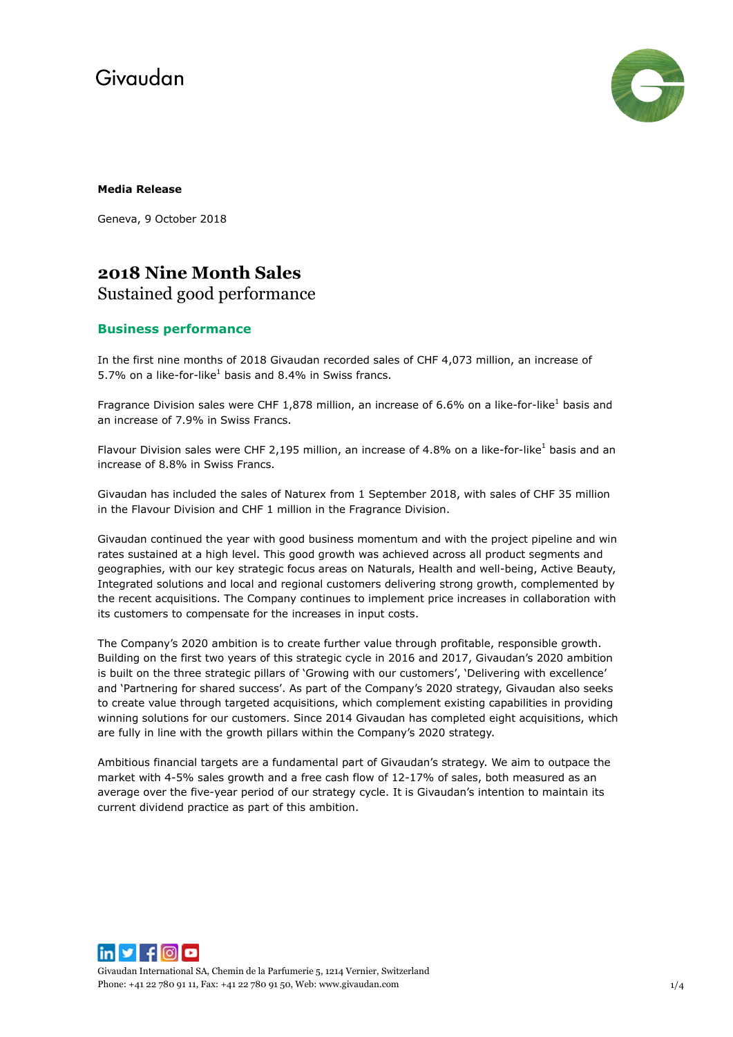# Givaudan



#### **Media Release**

Geneva, 9 October 2018

# **2018 Nine Month Sales** Sustained good performance

### **Business performance**

In the first nine months of 2018 Givaudan recorded sales of CHF 4,073 million, an increase of 5.7% on a like-for-like<sup>1</sup> basis and 8.4% in Swiss francs.

Fragrance Division sales were CHF 1,878 million, an increase of 6.6% on a like-for-like<sup>1</sup> basis and an increase of 7.9% in Swiss Francs.

Flavour Division sales were CHF 2,195 million, an increase of 4.8% on a like-for-like<sup>1</sup> basis and an increase of 8.8% in Swiss Francs.

Givaudan has included the sales of Naturex from 1 September 2018, with sales of CHF 35 million in the Flavour Division and CHF 1 million in the Fragrance Division.

Givaudan continued the year with good business momentum and with the project pipeline and win rates sustained at a high level. This good growth was achieved across all product segments and geographies, with our key strategic focus areas on Naturals, Health and well-being, Active Beauty, Integrated solutions and local and regional customers delivering strong growth, complemented by the recent acquisitions. The Company continues to implement price increases in collaboration with its customers to compensate for the increases in input costs.

The Company's 2020 ambition is to create further value through profitable, responsible growth. Building on the first two years of this strategic cycle in 2016 and 2017, Givaudan's 2020 ambition is built on the three strategic pillars of 'Growing with our customers', 'Delivering with excellence' and 'Partnering for shared success'. As part of the Company's 2020 strategy, Givaudan also seeks to create value through targeted acquisitions, which complement existing capabilities in providing winning solutions for our customers. Since 2014 Givaudan has completed eight acquisitions, which are fully in line with the growth pillars within the Company's 2020 strategy.

Ambitious financial targets are a fundamental part of Givaudan's strategy. We aim to outpace the market with 4-5% sales growth and a free cash flow of 12-17% of sales, both measured as an average over the five-year period of our strategy cycle. It is Givaudan's intention to maintain its current dividend practice as part of this ambition.



Givaudan International SA, Chemin de la Parfumerie 5, 1214 Vernier, Switzerland Phone: +41 22 780 91 11, Fax: +41 22 780 91 50, Web[: www.givaudan.com](http://www.givaudan.com/) 1/4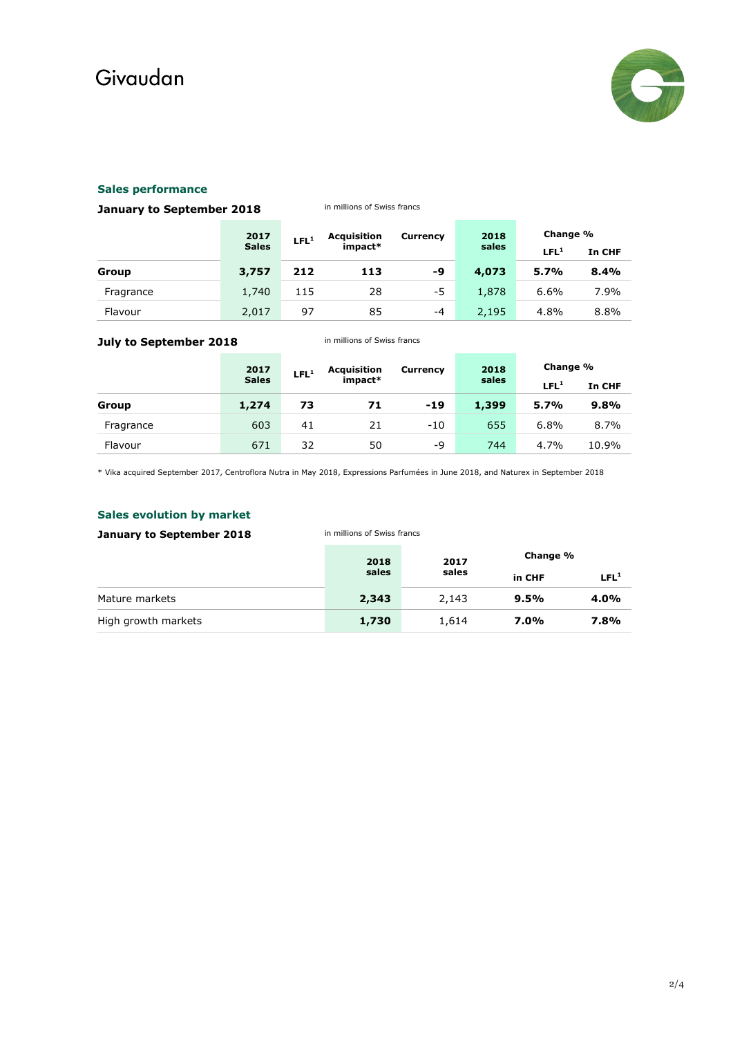# Givaudan



## **Sales performance**

| January to September 2018 | in millions of Swiss francs |                  |                               |                 |               |                  |        |
|---------------------------|-----------------------------|------------------|-------------------------------|-----------------|---------------|------------------|--------|
|                           | 2017<br><b>Sales</b>        | LFL <sup>1</sup> | <b>Acquisition</b><br>impact* | <b>Currency</b> | 2018<br>sales | Change %         |        |
|                           |                             |                  |                               |                 |               | LFL <sup>1</sup> | In CHF |
| Group                     | 3,757                       | 212              | 113                           | -9              | 4,073         | 5.7%             | 8.4%   |
| Fragrance                 | 1,740                       | 115              | 28                            | -5              | 1,878         | 6.6%             | 7.9%   |
| Flavour                   | 2,017                       | 97               | 85                            | -4              | 2,195         | 4.8%             | 8.8%   |

#### **July to September 2018** in millions of Swiss francs

|           | 2017         | LFL <sup>1</sup> | Acquisition | Currency | 2018  | Change %         |        |
|-----------|--------------|------------------|-------------|----------|-------|------------------|--------|
|           | <b>Sales</b> |                  | impact*     |          | sales | LFL <sup>1</sup> | In CHF |
| Group     | 1,274        | 73               | 71          | $-19$    | 1,399 | 5.7%             | 9.8%   |
| Fragrance | 603          | 41               | 21          | $-10$    | 655   | 6.8%             | 8.7%   |
| Flavour   | 671          | 32               | 50          | -9       | 744   | 4.7%             | 10.9%  |

\* Vika acquired September 2017, Centroflora Nutra in May 2018, Expressions Parfumées in June 2018, and Naturex in September 2018

## **Sales evolution by market**

**January to September 2018** in millions of Swiss francs

|                     | 2018<br>sales | 2017<br>sales | Change % |                  |  |
|---------------------|---------------|---------------|----------|------------------|--|
|                     |               |               | in CHF   | LFL <sup>1</sup> |  |
| Mature markets      | 2,343         | 2.143         | 9.5%     | 4.0%             |  |
| High growth markets | 1,730         | 1,614         | 7.0%     | 7.8%             |  |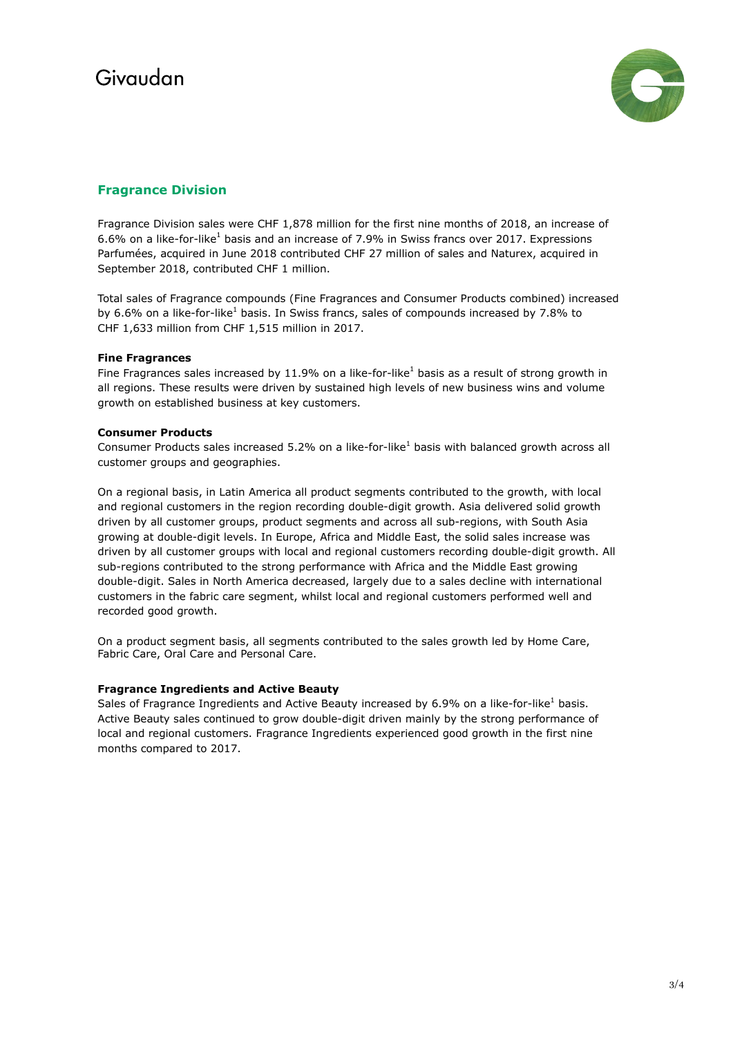

# **Fragrance Division**

Fragrance Division sales were CHF 1,878 million for the first nine months of 2018, an increase of 6.6% on a like-for-like<sup>1</sup> basis and an increase of 7.9% in Swiss francs over 2017. Expressions Parfumées, acquired in June 2018 contributed CHF 27 million of sales and Naturex, acquired in September 2018, contributed CHF 1 million.

Total sales of Fragrance compounds (Fine Fragrances and Consumer Products combined) increased by 6.6% on a like-for-like<sup>1</sup> basis. In Swiss francs, sales of compounds increased by 7.8% to CHF 1,633 million from CHF 1,515 million in 2017.

#### **Fine Fragrances**

Fine Fragrances sales increased by 11.9% on a like-for-like<sup>1</sup> basis as a result of strong growth in all regions. These results were driven by sustained high levels of new business wins and volume growth on established business at key customers.

#### **Consumer Products**

Consumer Products sales increased 5.2% on a like-for-like<sup>1</sup> basis with balanced growth across all customer groups and geographies.

On a regional basis, in Latin America all product segments contributed to the growth, with local and regional customers in the region recording double-digit growth. Asia delivered solid growth driven by all customer groups, product segments and across all sub-regions, with South Asia growing at double-digit levels. In Europe, Africa and Middle East, the solid sales increase was driven by all customer groups with local and regional customers recording double-digit growth. All sub-regions contributed to the strong performance with Africa and the Middle East growing double-digit. Sales in North America decreased, largely due to a sales decline with international customers in the fabric care segment, whilst local and regional customers performed well and recorded good growth.

On a product segment basis, all segments contributed to the sales growth led by Home Care, Fabric Care, Oral Care and Personal Care.

### **Fragrance Ingredients and Active Beauty**

Sales of Fragrance Ingredients and Active Beauty increased by 6.9% on a like-for-like<sup>1</sup> basis. Active Beauty sales continued to grow double-digit driven mainly by the strong performance of local and regional customers. Fragrance Ingredients experienced good growth in the first nine months compared to 2017.